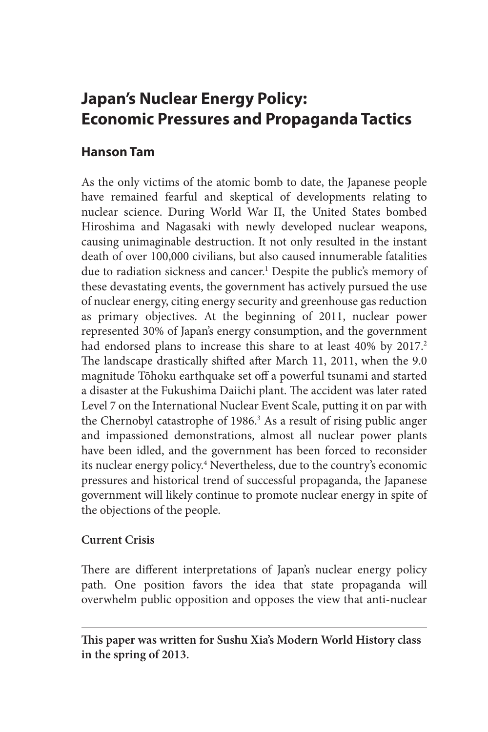# **Japan's Nuclear Energy Policy: Economic Pressures and Propaganda Tactics**

## **Hanson Tam**

As the only victims of the atomic bomb to date, the Japanese people have remained fearful and skeptical of developments relating to nuclear science. During World War II, the United States bombed Hiroshima and Nagasaki with newly developed nuclear weapons, causing unimaginable destruction. It not only resulted in the instant death of over 100,000 civilians, but also caused innumerable fatalities due to radiation sickness and cancer.<sup>1</sup> Despite the public's memory of these devastating events, the government has actively pursued the use of nuclear energy, citing energy security and greenhouse gas reduction as primary objectives. At the beginning of 2011, nuclear power represented 30% of Japan's energy consumption, and the government had endorsed plans to increase this share to at least 40% by 2017.<sup>2</sup> The landscape drastically shifted after March 11, 2011, when the 9.0 magnitude Tōhoku earthquake set off a powerful tsunami and started a disaster at the Fukushima Daiichi plant. The accident was later rated Level 7 on the International Nuclear Event Scale, putting it on par with the Chernobyl catastrophe of 1986.<sup>3</sup> As a result of rising public anger and impassioned demonstrations, almost all nuclear power plants have been idled, and the government has been forced to reconsider its nuclear energy policy.4 Nevertheless, due to the country's economic pressures and historical trend of successful propaganda, the Japanese government will likely continue to promote nuclear energy in spite of the objections of the people.

## **Current Crisis**

There are different interpretations of Japan's nuclear energy policy path. One position favors the idea that state propaganda will overwhelm public opposition and opposes the view that anti-nuclear

**This paper was written for Sushu Xia's Modern World History class in the spring of 2013.**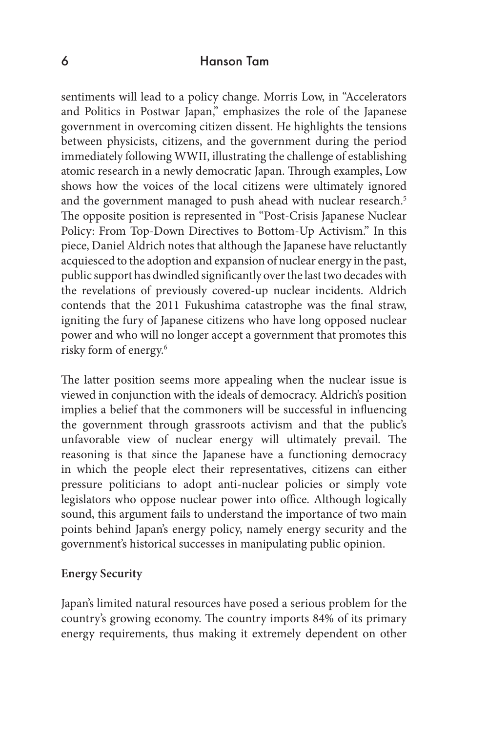## 6 Hanson Tam

sentiments will lead to a policy change. Morris Low, in "Accelerators and Politics in Postwar Japan," emphasizes the role of the Japanese government in overcoming citizen dissent. He highlights the tensions between physicists, citizens, and the government during the period immediately following WWII, illustrating the challenge of establishing atomic research in a newly democratic Japan. Through examples, Low shows how the voices of the local citizens were ultimately ignored and the government managed to push ahead with nuclear research.<sup>5</sup> The opposite position is represented in "Post-Crisis Japanese Nuclear Policy: From Top-Down Directives to Bottom-Up Activism." In this piece, Daniel Aldrich notes that although the Japanese have reluctantly acquiesced to the adoption and expansion of nuclear energy in the past, public support has dwindled significantly over the last two decades with the revelations of previously covered-up nuclear incidents. Aldrich contends that the 2011 Fukushima catastrophe was the final straw, igniting the fury of Japanese citizens who have long opposed nuclear power and who will no longer accept a government that promotes this risky form of energy.<sup>6</sup>

The latter position seems more appealing when the nuclear issue is viewed in conjunction with the ideals of democracy. Aldrich's position implies a belief that the commoners will be successful in influencing the government through grassroots activism and that the public's unfavorable view of nuclear energy will ultimately prevail. The reasoning is that since the Japanese have a functioning democracy in which the people elect their representatives, citizens can either pressure politicians to adopt anti-nuclear policies or simply vote legislators who oppose nuclear power into office. Although logically sound, this argument fails to understand the importance of two main points behind Japan's energy policy, namely energy security and the government's historical successes in manipulating public opinion.

#### **Energy Security**

Japan's limited natural resources have posed a serious problem for the country's growing economy. The country imports 84% of its primary energy requirements, thus making it extremely dependent on other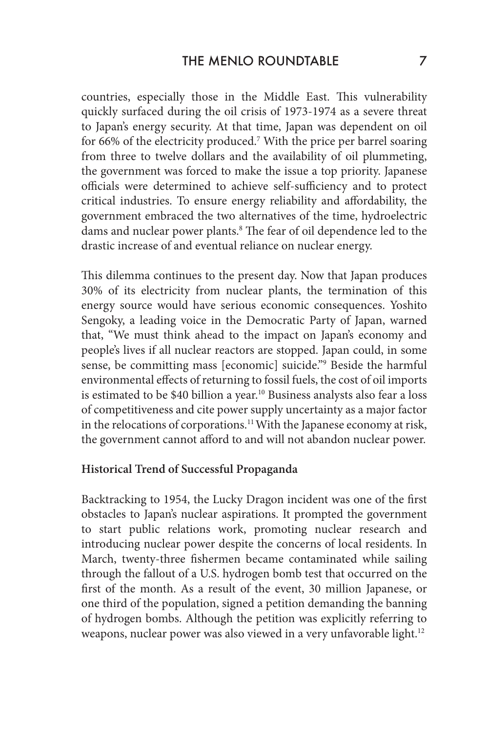countries, especially those in the Middle East. This vulnerability quickly surfaced during the oil crisis of 1973-1974 as a severe threat to Japan's energy security. At that time, Japan was dependent on oil for 66% of the electricity produced.<sup>7</sup> With the price per barrel soaring from three to twelve dollars and the availability of oil plummeting, the government was forced to make the issue a top priority. Japanese officials were determined to achieve self-sufficiency and to protect critical industries. To ensure energy reliability and affordability, the government embraced the two alternatives of the time, hydroelectric dams and nuclear power plants.<sup>8</sup> The fear of oil dependence led to the drastic increase of and eventual reliance on nuclear energy.

This dilemma continues to the present day. Now that Japan produces 30% of its electricity from nuclear plants, the termination of this energy source would have serious economic consequences. Yoshito Sengoky, a leading voice in the Democratic Party of Japan, warned that, "We must think ahead to the impact on Japan's economy and people's lives if all nuclear reactors are stopped. Japan could, in some sense, be committing mass [economic] suicide."9 Beside the harmful environmental effects of returning to fossil fuels, the cost of oil imports is estimated to be \$40 billion a year.<sup>10</sup> Business analysts also fear a loss of competitiveness and cite power supply uncertainty as a major factor in the relocations of corporations.11 With the Japanese economy at risk, the government cannot afford to and will not abandon nuclear power.

#### **Historical Trend of Successful Propaganda**

Backtracking to 1954, the Lucky Dragon incident was one of the first obstacles to Japan's nuclear aspirations. It prompted the government to start public relations work, promoting nuclear research and introducing nuclear power despite the concerns of local residents. In March, twenty-three fishermen became contaminated while sailing through the fallout of a U.S. hydrogen bomb test that occurred on the first of the month. As a result of the event, 30 million Japanese, or one third of the population, signed a petition demanding the banning of hydrogen bombs. Although the petition was explicitly referring to weapons, nuclear power was also viewed in a very unfavorable light.<sup>12</sup>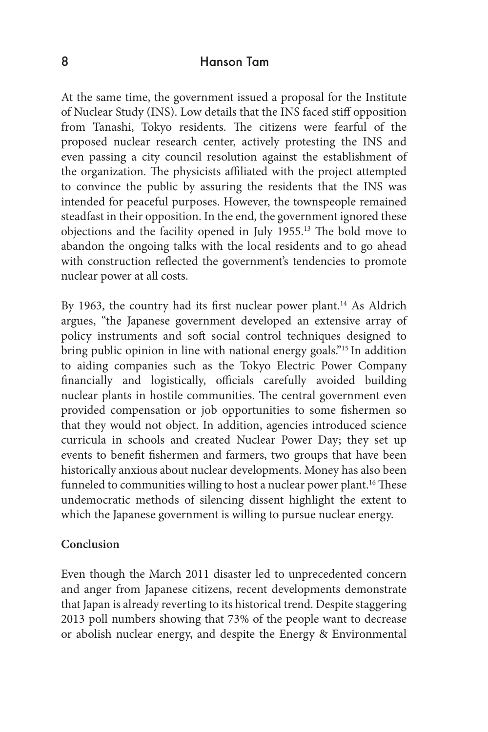### 8 Hanson Tam

At the same time, the government issued a proposal for the Institute of Nuclear Study (INS). Low details that the INS faced stiff opposition from Tanashi, Tokyo residents. The citizens were fearful of the proposed nuclear research center, actively protesting the INS and even passing a city council resolution against the establishment of the organization. The physicists affiliated with the project attempted to convince the public by assuring the residents that the INS was intended for peaceful purposes. However, the townspeople remained steadfast in their opposition. In the end, the government ignored these objections and the facility opened in July 1955.13 The bold move to abandon the ongoing talks with the local residents and to go ahead with construction reflected the government's tendencies to promote nuclear power at all costs.

By 1963, the country had its first nuclear power plant.<sup>14</sup> As Aldrich argues, "the Japanese government developed an extensive array of policy instruments and soft social control techniques designed to bring public opinion in line with national energy goals."<sup>15</sup> In addition to aiding companies such as the Tokyo Electric Power Company financially and logistically, officials carefully avoided building nuclear plants in hostile communities. The central government even provided compensation or job opportunities to some fishermen so that they would not object. In addition, agencies introduced science curricula in schools and created Nuclear Power Day; they set up events to benefit fishermen and farmers, two groups that have been historically anxious about nuclear developments. Money has also been funneled to communities willing to host a nuclear power plant.<sup>16</sup> These undemocratic methods of silencing dissent highlight the extent to which the Japanese government is willing to pursue nuclear energy.

#### **Conclusion**

Even though the March 2011 disaster led to unprecedented concern and anger from Japanese citizens, recent developments demonstrate that Japan is already reverting to its historical trend. Despite staggering 2013 poll numbers showing that 73% of the people want to decrease or abolish nuclear energy, and despite the Energy & Environmental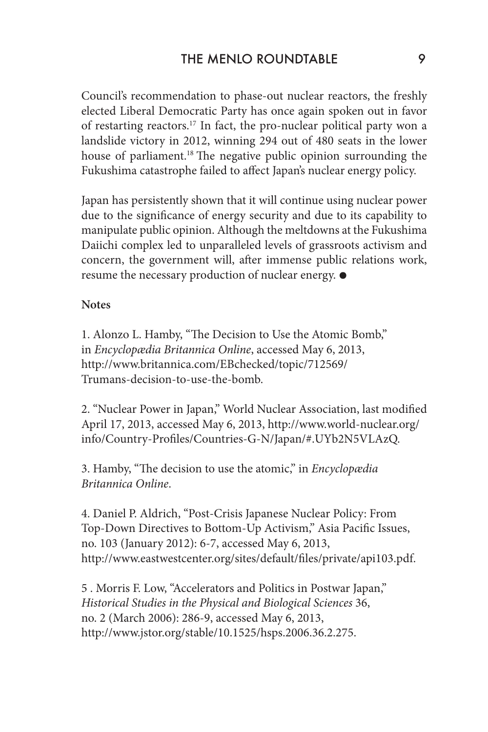Council's recommendation to phase-out nuclear reactors, the freshly elected Liberal Democratic Party has once again spoken out in favor of restarting reactors.17 In fact, the pro-nuclear political party won a landslide victory in 2012, winning 294 out of 480 seats in the lower house of parliament.<sup>18</sup> The negative public opinion surrounding the Fukushima catastrophe failed to affect Japan's nuclear energy policy.

Japan has persistently shown that it will continue using nuclear power due to the significance of energy security and due to its capability to manipulate public opinion. Although the meltdowns at the Fukushima Daiichi complex led to unparalleled levels of grassroots activism and concern, the government will, after immense public relations work, resume the necessary production of nuclear energy.

#### **Notes**

1. Alonzo L. Hamby, "The Decision to Use the Atomic Bomb," in *Encyclopædia Britannica Online*, accessed May 6, 2013, http://www.britannica.com/EBchecked/topic/712569/ Trumans-decision-to-use-the-bomb.

2. "Nuclear Power in Japan," World Nuclear Association, last modified April 17, 2013, accessed May 6, 2013, http://www.world-nuclear.org/ info/Country-Profiles/Countries-G-N/Japan/#.UYb2N5VLAzQ.

3. Hamby, "The decision to use the atomic," in *Encyclopædia Britannica Online*.

4. Daniel P. Aldrich, "Post-Crisis Japanese Nuclear Policy: From Top-Down Directives to Bottom-Up Activism," Asia Pacific Issues, no. 103 (January 2012): 6-7, accessed May 6, 2013, http://www.eastwestcenter.org/sites/default/files/private/api103.pdf.

5 . Morris F. Low, "Accelerators and Politics in Postwar Japan," *Historical Studies in the Physical and Biological Sciences* 36, no. 2 (March 2006): 286-9, accessed May 6, 2013, http://www.jstor.org/stable/10.1525/hsps.2006.36.2.275.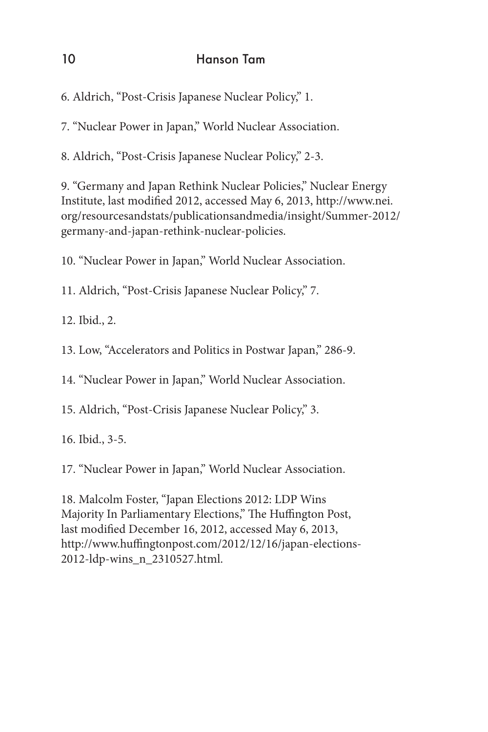# 10 Hanson Tam

6. Aldrich, "Post-Crisis Japanese Nuclear Policy," 1.

7. "Nuclear Power in Japan," World Nuclear Association.

8. Aldrich, "Post-Crisis Japanese Nuclear Policy," 2-3.

9. "Germany and Japan Rethink Nuclear Policies," Nuclear Energy Institute, last modified 2012, accessed May 6, 2013, http://www.nei. org/resourcesandstats/publicationsandmedia/insight/Summer-2012/ germany-and-japan-rethink-nuclear-policies.

10. "Nuclear Power in Japan," World Nuclear Association.

11. Aldrich, "Post-Crisis Japanese Nuclear Policy," 7.

12. Ibid., 2.

13. Low, "Accelerators and Politics in Postwar Japan," 286-9.

14. "Nuclear Power in Japan," World Nuclear Association.

15. Aldrich, "Post-Crisis Japanese Nuclear Policy," 3.

16. Ibid., 3-5.

17. "Nuclear Power in Japan," World Nuclear Association.

18. Malcolm Foster, "Japan Elections 2012: LDP Wins Majority In Parliamentary Elections," The Huffington Post, last modified December 16, 2012, accessed May 6, 2013, http://www.huffingtonpost.com/2012/12/16/japan-elections-2012-ldp-wins\_n\_2310527.html.